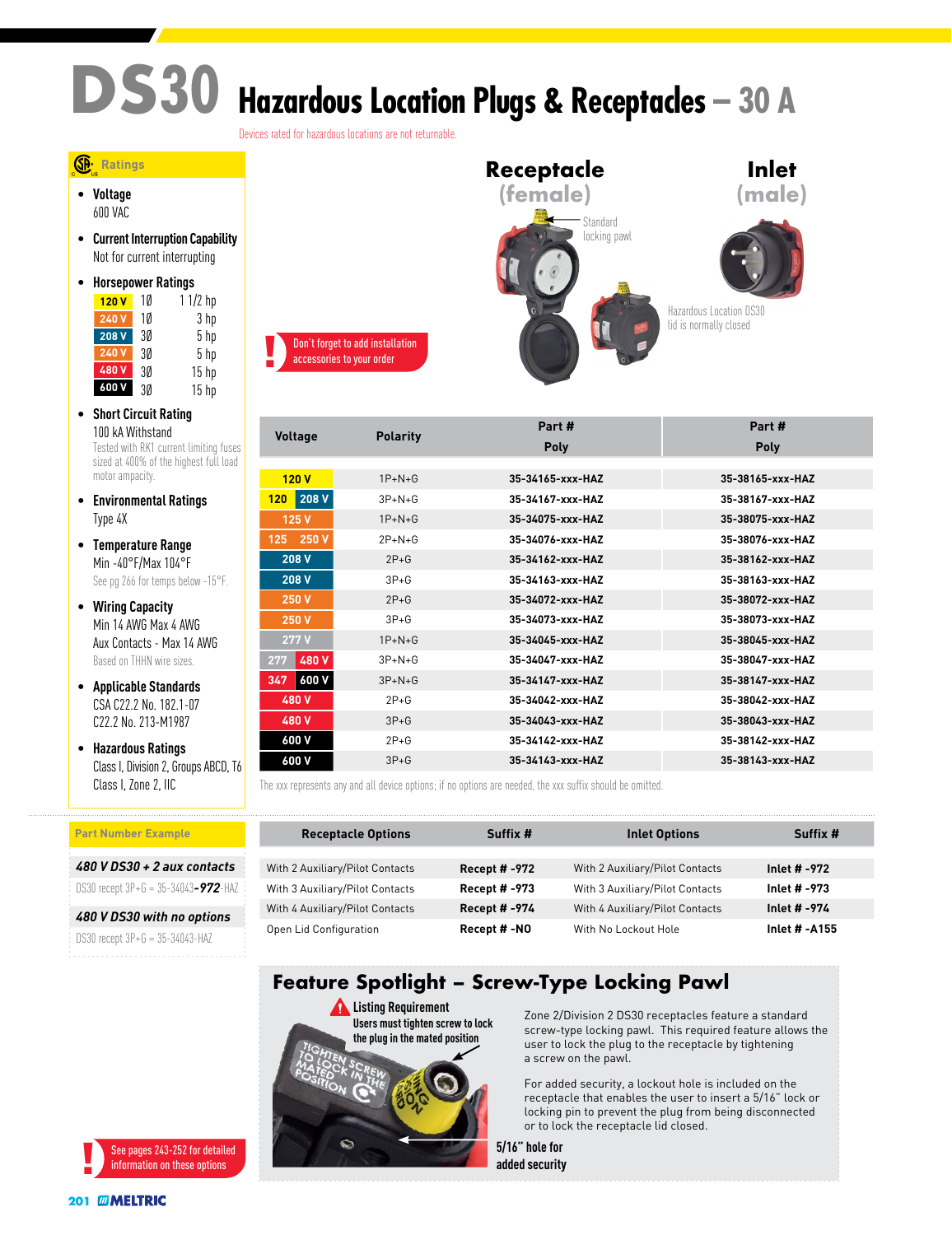# **DS30 Hazardous Location Plugs & Receptacles – 30 A**

Devices rated for hazardous locations are not returnable.

#### **Ratings**

• **Voltage** 600 VAC

• **Current Interruption Capability** Not for current interrupting

| <b>Horsepower Ratings</b> |    |                  |  |  |
|---------------------------|----|------------------|--|--|
| 120V                      | 10 | $11/2$ hp        |  |  |
| 240 V                     | 10 | 3 hp             |  |  |
| 208 V                     | 3Ø | 5 hp             |  |  |
| 240 V                     | 3Ø | 5 hp             |  |  |
| 480 V                     | 3Ø | 15 <sub>hp</sub> |  |  |
| 600V                      | 3Ø | 15 <sub>hp</sub> |  |  |

- **Short Circuit Rating** 100 kA Withstand Tested with RK1 current limiting fuses sized at 400% of the highest full load motor ampacity.
- **Environmental Ratings** Type 4X
- **Temperature Range** Min -40°F/Max 104°F See pg 266 for temps below -15°F.
- **Wiring Capacity** Min 14 AWG Max 4 AWG Aux Contacts - Max 14 AWG Based on THHN wire sizes.
- **Applicable Standards** CSA C22.2 No. 182.1-07 C22.2 No. 213-M1987
- **Hazardous Ratings** Class I, Division 2, Groups ABCD, T6 Class I, Zone 2, IIC

#### **Part Number Example**

*480 V DS30 + 2 aux contacts*

DS30 recept 3P+G = 35-34043*-972*-HAZ

*480 V DS30 with no options* DS30 recept 3P+G = 35-34043-HAZ





|                     |                 | Part #           | Part#            |
|---------------------|-----------------|------------------|------------------|
| <b>Voltage</b>      | <b>Polarity</b> | Poly             | <b>Poly</b>      |
|                     |                 |                  |                  |
| 120V                | $1P+N+G$        | 35-34165-xxx-HAZ | 35-38165-xxx-HAZ |
| 208 V<br>120        | $3P+N+G$        | 35-34167-xxx-HAZ | 35-38167-xxx-HAZ |
| 125 V               | $1P+N+G$        | 35-34075-xxx-HAZ | 35-38075-xxx-HAZ |
| 250 V<br>125        | $2P+N+G$        | 35-34076-xxx-HAZ | 35-38076-xxx-HAZ |
| 208 V               | $2P + G$        | 35-34162-xxx-HAZ | 35-38162-xxx-HAZ |
| 208 V               | $3P+G$          | 35-34163-xxx-HAZ | 35-38163-xxx-HAZ |
| 250 V               | $2P+G$          | 35-34072-xxx-HAZ | 35-38072-xxx-HAZ |
| 250 V               | $3P+G$          | 35-34073-xxx-HAZ | 35-38073-xxx-HAZ |
| 277 V               | $1P+N+G$        | 35-34045-xxx-HAZ | 35-38045-xxx-HAZ |
| 480 V<br>277        | $3P+N+G$        | 35-34047-xxx-HAZ | 35-38047-xxx-HAZ |
| <b>600 V</b><br>347 | $3P+N+G$        | 35-34147-xxx-HAZ | 35-38147-xxx-HAZ |
| 480 V               | $2P + G$        | 35-34042-xxx-HAZ | 35-38042-xxx-HAZ |
| 480 V               | $3P+G$          | 35-34043-xxx-HAZ | 35-38043-xxx-HAZ |
| 600 V               | $2P+G$          | 35-34142-xxx-HAZ | 35-38142-xxx-HAZ |
| 600 V               | $3P + G$        | 35-34143-xxx-HAZ | 35-38143-xxx-HAZ |

The xxx represents any and all device options; if no options are needed, the xxx suffix should be omitted.

| <b>Receptacle Options</b>       | Suffix #             | <b>Inlet Options</b>            | Suffix #      |
|---------------------------------|----------------------|---------------------------------|---------------|
|                                 |                      |                                 |               |
| With 2 Auxiliary/Pilot Contacts | <b>Recept # -972</b> | With 2 Auxiliary/Pilot Contacts | Inlet # -972  |
| With 3 Auxiliary/Pilot Contacts | <b>Recept # -973</b> | With 3 Auxiliary/Pilot Contacts | Inlet # -973  |
| With 4 Auxiliary/Pilot Contacts | <b>Recept #-974</b>  | With 4 Auxiliary/Pilot Contacts | Inlet # -974  |
| Open Lid Configuration          | Recept #-NO          | With No Lockout Hole            | Inlet # -A155 |

### **Feature Spotlight – Screw-Type Locking Pawl**



Zone 2/Division 2 DS30 receptacles feature a standard screw-type locking pawl. This required feature allows the user to lock the plug to the receptacle by tightening a screw on the pawl.

For added security, a lockout hole is included on the receptacle that enables the user to insert a 5/16" lock or locking pin to prevent the plug from being disconnected or to lock the receptacle lid closed.

**5/16" hole for added security**